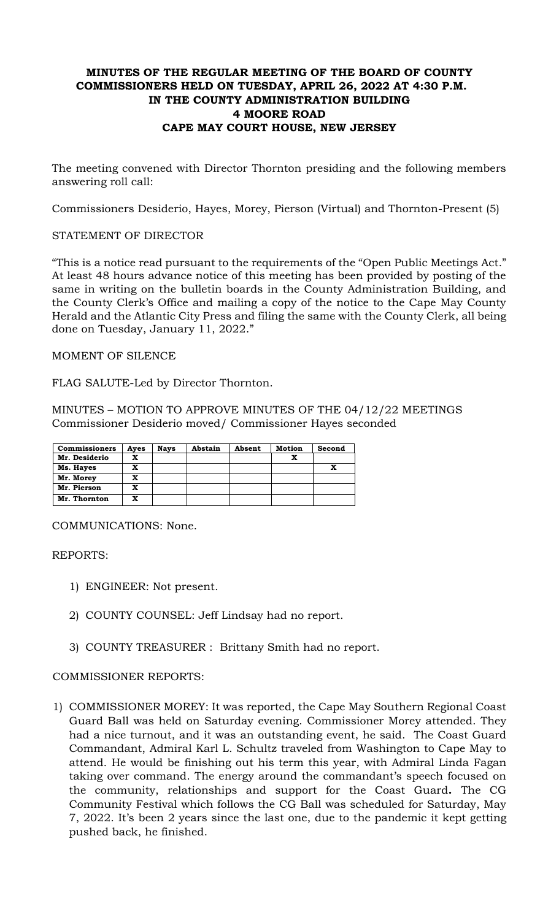# **MINUTES OF THE REGULAR MEETING OF THE BOARD OF COUNTY COMMISSIONERS HELD ON TUESDAY, APRIL 26, 2022 AT 4:30 P.M. IN THE COUNTY ADMINISTRATION BUILDING 4 MOORE ROAD CAPE MAY COURT HOUSE, NEW JERSEY**

The meeting convened with Director Thornton presiding and the following members answering roll call:

Commissioners Desiderio, Hayes, Morey, Pierson (Virtual) and Thornton-Present (5)

# STATEMENT OF DIRECTOR

"This is a notice read pursuant to the requirements of the "Open Public Meetings Act." At least 48 hours advance notice of this meeting has been provided by posting of the same in writing on the bulletin boards in the County Administration Building, and the County Clerk's Office and mailing a copy of the notice to the Cape May County Herald and the Atlantic City Press and filing the same with the County Clerk, all being done on Tuesday, January 11, 2022."

MOMENT OF SILENCE

FLAG SALUTE-Led by Director Thornton.

MINUTES – MOTION TO APPROVE MINUTES OF THE 04/12/22 MEETINGS Commissioner Desiderio moved/ Commissioner Hayes seconded

| <b>Commissioners</b> | Ayes | <b>Nays</b> | Abstain | Absent | <b>Motion</b> | Second |
|----------------------|------|-------------|---------|--------|---------------|--------|
| Mr. Desiderio        | x    |             |         |        |               |        |
| Ms. Hayes            | x    |             |         |        |               |        |
| Mr. Morey            | x    |             |         |        |               |        |
| Mr. Pierson          | X    |             |         |        |               |        |
| Mr. Thornton         | x    |             |         |        |               |        |

COMMUNICATIONS: None.

REPORTS:

- 1) ENGINEER: Not present.
- 2) COUNTY COUNSEL: Jeff Lindsay had no report.
- 3) COUNTY TREASURER : Brittany Smith had no report.

# COMMISSIONER REPORTS:

1) COMMISSIONER MOREY: It was reported, the Cape May Southern Regional Coast Guard Ball was held on Saturday evening. Commissioner Morey attended. They had a nice turnout, and it was an outstanding event, he said. The Coast Guard Commandant, Admiral Karl L. Schultz traveled from Washington to Cape May to attend. He would be finishing out his term this year, with Admiral Linda Fagan taking over command. The energy around the commandant's speech focused on the community, relationships and support for the Coast Guard**.** The CG Community Festival which follows the CG Ball was scheduled for Saturday, May 7, 2022. It's been 2 years since the last one, due to the pandemic it kept getting pushed back, he finished.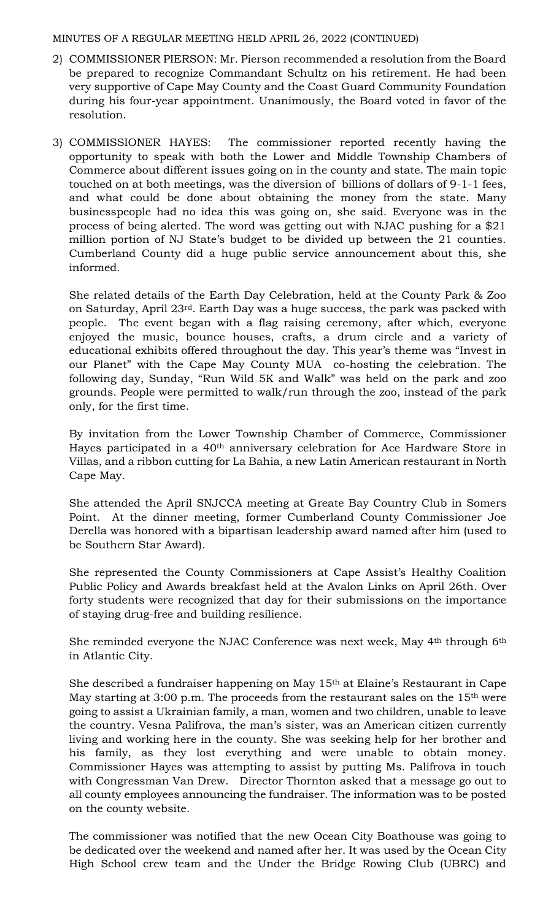- 2) COMMISSIONER PIERSON: Mr. Pierson recommended a resolution from the Board be prepared to recognize Commandant Schultz on his retirement. He had been very supportive of Cape May County and the Coast Guard Community Foundation during his four-year appointment. Unanimously, the Board voted in favor of the resolution.
- 3) COMMISSIONER HAYES: The commissioner reported recently having the opportunity to speak with both the Lower and Middle Township Chambers of Commerce about different issues going on in the county and state. The main topic touched on at both meetings, was the diversion of billions of dollars of 9-1-1 fees, and what could be done about obtaining the money from the state. Many businesspeople had no idea this was going on, she said. Everyone was in the process of being alerted. The word was getting out with NJAC pushing for a \$21 million portion of NJ State's budget to be divided up between the 21 counties. Cumberland County did a huge public service announcement about this, she informed.

She related details of the Earth Day Celebration, held at the County Park & Zoo on Saturday, April 23rd. Earth Day was a huge success, the park was packed with people. The event began with a flag raising ceremony, after which, everyone enjoyed the music, bounce houses, crafts, a drum circle and a variety of educational exhibits offered throughout the day. This year's theme was "Invest in our Planet" with the Cape May County MUA co-hosting the celebration. The following day, Sunday, "Run Wild 5K and Walk" was held on the park and zoo grounds. People were permitted to walk/run through the zoo, instead of the park only, for the first time.

By invitation from the Lower Township Chamber of Commerce, Commissioner Hayes participated in a 40th anniversary celebration for Ace Hardware Store in Villas, and a ribbon cutting for La Bahia, a new Latin American restaurant in North Cape May.

She attended the April SNJCCA meeting at Greate Bay Country Club in Somers Point. At the dinner meeting, former Cumberland County Commissioner Joe Derella was honored with a bipartisan leadership award named after him (used to be Southern Star Award).

She represented the County Commissioners at Cape Assist's Healthy Coalition Public Policy and Awards breakfast held at the Avalon Links on April 26th. Over forty students were recognized that day for their submissions on the importance of staying drug-free and building resilience.

She reminded everyone the NJAC Conference was next week, May 4<sup>th</sup> through 6<sup>th</sup> in Atlantic City.

She described a fundraiser happening on May 15th at Elaine's Restaurant in Cape May starting at 3:00 p.m. The proceeds from the restaurant sales on the 15<sup>th</sup> were going to assist a Ukrainian family, a man, women and two children, unable to leave the country. Vesna Palifrova, the man's sister, was an American citizen currently living and working here in the county. She was seeking help for her brother and his family, as they lost everything and were unable to obtain money. Commissioner Hayes was attempting to assist by putting Ms. Palifrova in touch with Congressman Van Drew. Director Thornton asked that a message go out to all county employees announcing the fundraiser. The information was to be posted on the county website.

The commissioner was notified that the new Ocean City Boathouse was going to be dedicated over the weekend and named after her. It was used by the Ocean City High School crew team and the Under the Bridge Rowing Club (UBRC) and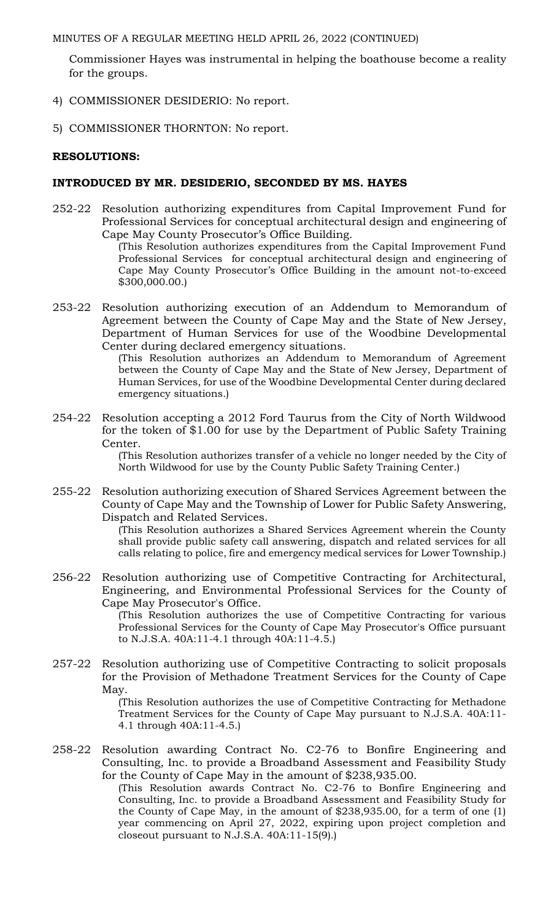Commissioner Hayes was instrumental in helping the boathouse become a reality for the groups.

- 4) COMMISSIONER DESIDERIO: No report.
- 5) COMMISSIONER THORNTON: No report.

# **RESOLUTIONS:**

# **INTRODUCED BY MR. DESIDERIO, SECONDED BY MS. HAYES**

252-22 Resolution authorizing expenditures from Capital Improvement Fund for Professional Services for conceptual architectural design and engineering of Cape May County Prosecutor's Office Building.

(This Resolution authorizes expenditures from the Capital Improvement Fund Professional Services for conceptual architectural design and engineering of Cape May County Prosecutor's Office Building in the amount not-to-exceed \$300,000.00.)

253-22 Resolution authorizing execution of an Addendum to Memorandum of Agreement between the County of Cape May and the State of New Jersey, Department of Human Services for use of the Woodbine Developmental Center during declared emergency situations.

(This Resolution authorizes an Addendum to Memorandum of Agreement between the County of Cape May and the State of New Jersey, Department of Human Services, for use of the Woodbine Developmental Center during declared emergency situations.)

254-22 Resolution accepting a 2012 Ford Taurus from the City of North Wildwood for the token of \$1.00 for use by the Department of Public Safety Training Center.

(This Resolution authorizes transfer of a vehicle no longer needed by the City of North Wildwood for use by the County Public Safety Training Center.)

255-22 Resolution authorizing execution of Shared Services Agreement between the County of Cape May and the Township of Lower for Public Safety Answering, Dispatch and Related Services.

(This Resolution authorizes a Shared Services Agreement wherein the County shall provide public safety call answering, dispatch and related services for all calls relating to police, fire and emergency medical services for Lower Township.)

256-22 Resolution authorizing use of Competitive Contracting for Architectural, Engineering, and Environmental Professional Services for the County of Cape May Prosecutor's Office.

> (This Resolution authorizes the use of Competitive Contracting for various Professional Services for the County of Cape May Prosecutor's Office pursuant to N.J.S.A. 40A:11-4.1 through 40A:11-4.5.)

257-22 Resolution authorizing use of Competitive Contracting to solicit proposals for the Provision of Methadone Treatment Services for the County of Cape May.

(This Resolution authorizes the use of Competitive Contracting for Methadone Treatment Services for the County of Cape May pursuant to N.J.S.A. 40A:11- 4.1 through 40A:11-4.5.)

258-22 Resolution awarding Contract No. C2-76 to Bonfire Engineering and Consulting, Inc. to provide a Broadband Assessment and Feasibility Study for the County of Cape May in the amount of \$238,935.00.

(This Resolution awards Contract No. C2-76 to Bonfire Engineering and Consulting, Inc. to provide a Broadband Assessment and Feasibility Study for the County of Cape May, in the amount of \$238,935.00, for a term of one (1) year commencing on April 27, 2022, expiring upon project completion and closeout pursuant to N.J.S.A. 40A:11-15(9).)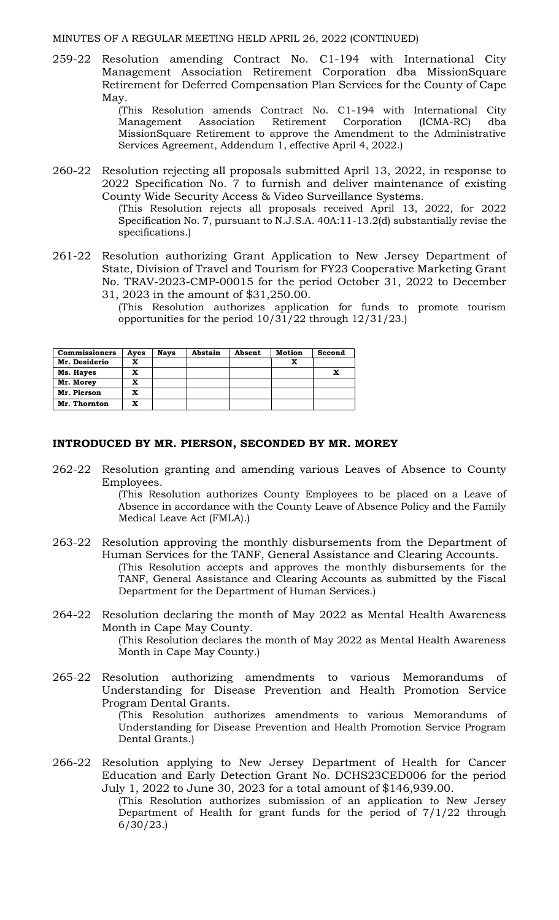259-22 Resolution amending Contract No. C1-194 with International City Management Association Retirement Corporation dba MissionSquare Retirement for Deferred Compensation Plan Services for the County of Cape May.

> (This Resolution amends Contract No. C1-194 with International City Management Association Retirement Corporation (ICMA-RC) dba MissionSquare Retirement to approve the Amendment to the Administrative Services Agreement, Addendum 1, effective April 4, 2022.)

260-22 Resolution rejecting all proposals submitted April 13, 2022, in response to 2022 Specification No. 7 to furnish and deliver maintenance of existing County Wide Security Access & Video Surveillance Systems.

(This Resolution rejects all proposals received April 13, 2022, for 2022 Specification No. 7, pursuant to N.J.S.A. 40A:11-13.2(d) substantially revise the specifications.)

- 261-22 Resolution authorizing Grant Application to New Jersey Department of State, Division of Travel and Tourism for FY23 Cooperative Marketing Grant No. TRAV-2023-CMP-00015 for the period October 31, 2022 to December 31, 2023 in the amount of \$31,250.00.
	- (This Resolution authorizes application for funds to promote tourism opportunities for the period 10/31/22 through 12/31/23.)

| <b>Commissioners</b> | Ayes | <b>Nays</b> | Abstain | Absent | <b>Motion</b> | Second |
|----------------------|------|-------------|---------|--------|---------------|--------|
| Mr. Desiderio        | x    |             |         |        |               |        |
| Ms. Hayes            | x    |             |         |        |               | x      |
| Mr. Morey            | x    |             |         |        |               |        |
| Mr. Pierson          | x    |             |         |        |               |        |
| Mr. Thornton         | x    |             |         |        |               |        |

#### **INTRODUCED BY MR. PIERSON, SECONDED BY MR. MOREY**

262-22 Resolution granting and amending various Leaves of Absence to County Employees.

(This Resolution authorizes County Employees to be placed on a Leave of Absence in accordance with the County Leave of Absence Policy and the Family Medical Leave Act (FMLA).)

- 263-22 Resolution approving the monthly disbursements from the Department of Human Services for the TANF, General Assistance and Clearing Accounts. (This Resolution accepts and approves the monthly disbursements for the TANF, General Assistance and Clearing Accounts as submitted by the Fiscal Department for the Department of Human Services.)
- 264-22 Resolution declaring the month of May 2022 as Mental Health Awareness Month in Cape May County. (This Resolution declares the month of May 2022 as Mental Health Awareness Month in Cape May County.)
- 265-22 Resolution authorizing amendments to various Memorandums of Understanding for Disease Prevention and Health Promotion Service Program Dental Grants.

(This Resolution authorizes amendments to various Memorandums of Understanding for Disease Prevention and Health Promotion Service Program Dental Grants.)

266-22 Resolution applying to New Jersey Department of Health for Cancer Education and Early Detection Grant No. DCHS23CED006 for the period July 1, 2022 to June 30, 2023 for a total amount of \$146,939.00.

(This Resolution authorizes submission of an application to New Jersey Department of Health for grant funds for the period of 7/1/22 through 6/30/23.)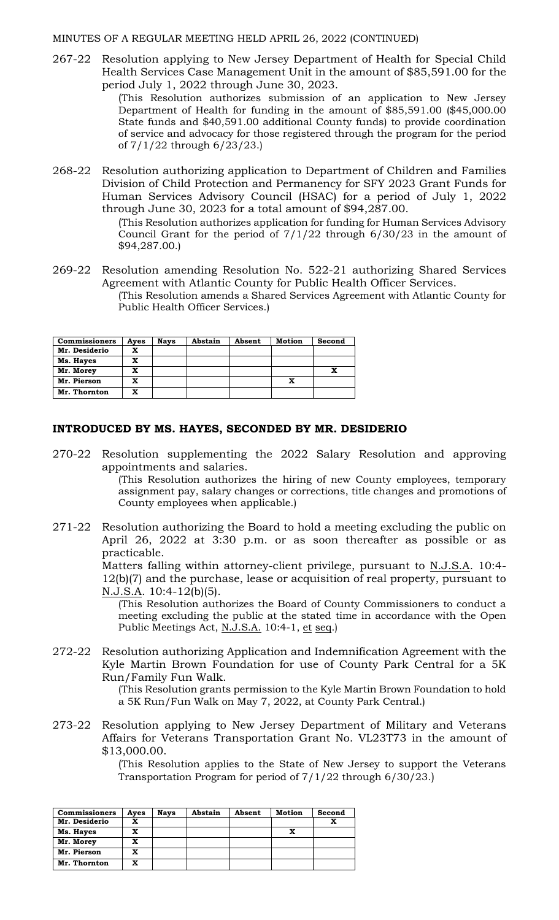267-22 Resolution applying to New Jersey Department of Health for Special Child Health Services Case Management Unit in the amount of \$85,591.00 for the period July 1, 2022 through June 30, 2023.

> (This Resolution authorizes submission of an application to New Jersey Department of Health for funding in the amount of \$85,591.00 (\$45,000.00 State funds and \$40,591.00 additional County funds) to provide coordination of service and advocacy for those registered through the program for the period of 7/1/22 through 6/23/23.)

268-22 Resolution authorizing application to Department of Children and Families Division of Child Protection and Permanency for SFY 2023 Grant Funds for Human Services Advisory Council (HSAC) for a period of July 1, 2022 through June 30, 2023 for a total amount of \$94,287.00.

(This Resolution authorizes application for funding for Human Services Advisory Council Grant for the period of  $7/1/22$  through  $6/30/23$  in the amount of \$94,287.00.)

269-22 Resolution amending Resolution No. 522-21 authorizing Shared Services Agreement with Atlantic County for Public Health Officer Services. (This Resolution amends a Shared Services Agreement with Atlantic County for Public Health Officer Services.)

| <b>Commissioners</b> | Ayes | <b>Nays</b> | Abstain | Absent | <b>Motion</b> | Second |
|----------------------|------|-------------|---------|--------|---------------|--------|
| Mr. Desiderio        | x    |             |         |        |               |        |
| Ms. Hayes            | x    |             |         |        |               |        |
| Mr. Morey            | x    |             |         |        |               |        |
| Mr. Pierson          | x    |             |         |        |               |        |
| Mr. Thornton         | x    |             |         |        |               |        |

#### **INTRODUCED BY MS. HAYES, SECONDED BY MR. DESIDERIO**

270-22 Resolution supplementing the 2022 Salary Resolution and approving appointments and salaries.

> (This Resolution authorizes the hiring of new County employees, temporary assignment pay, salary changes or corrections, title changes and promotions of County employees when applicable.)

271-22 Resolution authorizing the Board to hold a meeting excluding the public on April 26, 2022 at 3:30 p.m. or as soon thereafter as possible or as practicable.

> Matters falling within attorney-client privilege, pursuant to N.J.S.A. 10:4-12(b)(7) and the purchase, lease or acquisition of real property, pursuant to N.J.S.A. 10:4-12(b)(5).

(This Resolution authorizes the Board of County Commissioners to conduct a meeting excluding the public at the stated time in accordance with the Open Public Meetings Act, N.J.S.A. 10:4-1, et seq.)

272-22 Resolution authorizing Application and Indemnification Agreement with the Kyle Martin Brown Foundation for use of County Park Central for a 5K Run/Family Fun Walk.

(This Resolution grants permission to the Kyle Martin Brown Foundation to hold a 5K Run/Fun Walk on May 7, 2022, at County Park Central.)

273-22 Resolution applying to New Jersey Department of Military and Veterans Affairs for Veterans Transportation Grant No. VL23T73 in the amount of \$13,000.00.

> (This Resolution applies to the State of New Jersey to support the Veterans Transportation Program for period of 7/1/22 through 6/30/23.)

| <b>Commissioners</b> | Aves | <b>Nays</b> | Abstain | Absent | Motion | Second |
|----------------------|------|-------------|---------|--------|--------|--------|
| Mr. Desiderio        | x    |             |         |        |        |        |
| Ms. Hayes            | x    |             |         |        |        |        |
| Mr. Morey            | x    |             |         |        |        |        |
| Mr. Pierson          | x    |             |         |        |        |        |
| Mr. Thornton         | x    |             |         |        |        |        |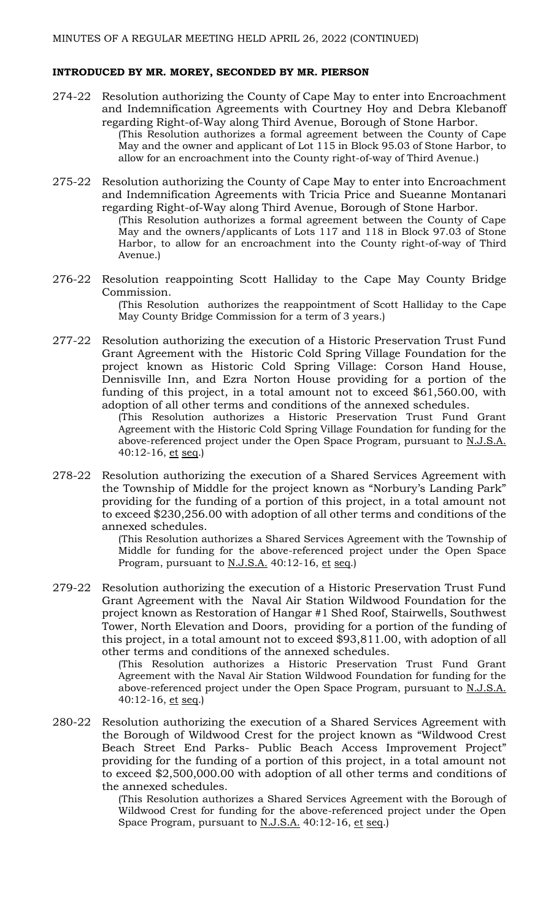#### **INTRODUCED BY MR. MOREY, SECONDED BY MR. PIERSON**

- 274-22 Resolution authorizing the County of Cape May to enter into Encroachment and Indemnification Agreements with Courtney Hoy and Debra Klebanoff regarding Right-of-Way along Third Avenue, Borough of Stone Harbor. (This Resolution authorizes a formal agreement between the County of Cape May and the owner and applicant of Lot 115 in Block 95.03 of Stone Harbor, to allow for an encroachment into the County right-of-way of Third Avenue.)
- 275-22 Resolution authorizing the County of Cape May to enter into Encroachment and Indemnification Agreements with Tricia Price and Sueanne Montanari regarding Right-of-Way along Third Avenue, Borough of Stone Harbor. (This Resolution authorizes a formal agreement between the County of Cape May and the owners/applicants of Lots 117 and 118 in Block 97.03 of Stone Harbor, to allow for an encroachment into the County right-of-way of Third Avenue.)
- 276-22 Resolution reappointing Scott Halliday to the Cape May County Bridge Commission. (This Resolution authorizes the reappointment of Scott Halliday to the Cape

May County Bridge Commission for a term of 3 years.)

277-22 Resolution authorizing the execution of a Historic Preservation Trust Fund Grant Agreement with the Historic Cold Spring Village Foundation for the project known as Historic Cold Spring Village: Corson Hand House, Dennisville Inn, and Ezra Norton House providing for a portion of the funding of this project, in a total amount not to exceed \$61,560.00, with adoption of all other terms and conditions of the annexed schedules.

(This Resolution authorizes a Historic Preservation Trust Fund Grant Agreement with the Historic Cold Spring Village Foundation for funding for the above-referenced project under the Open Space Program, pursuant to N.J.S.A. 40:12-16,  $et seq$ .)</u>

278-22 Resolution authorizing the execution of a Shared Services Agreement with the Township of Middle for the project known as "Norbury's Landing Park" providing for the funding of a portion of this project, in a total amount not to exceed \$230,256.00 with adoption of all other terms and conditions of the annexed schedules.

> (This Resolution authorizes a Shared Services Agreement with the Township of Middle for funding for the above-referenced project under the Open Space Program, pursuant to N.J.S.A. 40:12-16, et seq.)

279-22 Resolution authorizing the execution of a Historic Preservation Trust Fund Grant Agreement with the Naval Air Station Wildwood Foundation for the project known as Restoration of Hangar #1 Shed Roof, Stairwells, Southwest Tower, North Elevation and Doors, providing for a portion of the funding of this project, in a total amount not to exceed \$93,811.00, with adoption of all other terms and conditions of the annexed schedules.

> (This Resolution authorizes a Historic Preservation Trust Fund Grant Agreement with the Naval Air Station Wildwood Foundation for funding for the above-referenced project under the Open Space Program, pursuant to N.J.S.A. 40:12-16, et seq.)

280-22 Resolution authorizing the execution of a Shared Services Agreement with the Borough of Wildwood Crest for the project known as "Wildwood Crest Beach Street End Parks- Public Beach Access Improvement Project" providing for the funding of a portion of this project, in a total amount not to exceed \$2,500,000.00 with adoption of all other terms and conditions of the annexed schedules.

> (This Resolution authorizes a Shared Services Agreement with the Borough of Wildwood Crest for funding for the above-referenced project under the Open Space Program, pursuant to N.J.S.A. 40:12-16, et seq.)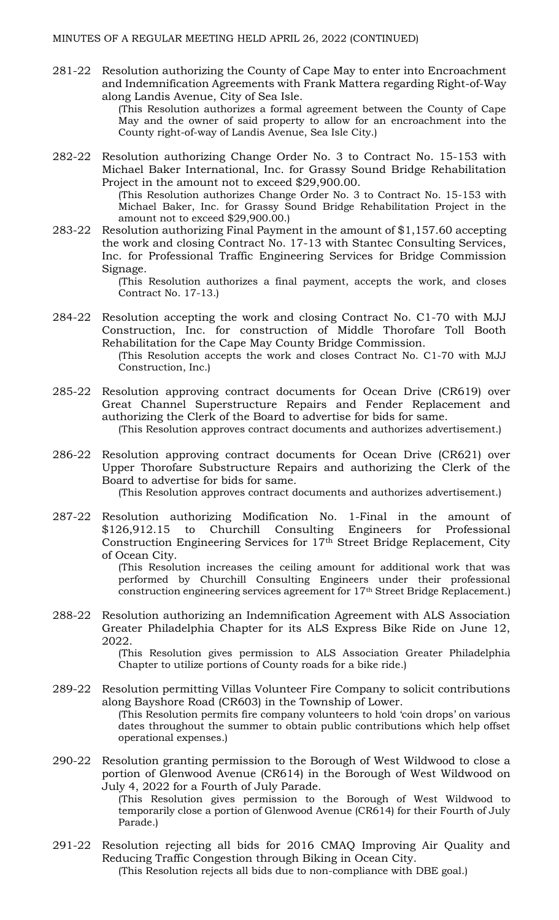281-22 Resolution authorizing the County of Cape May to enter into Encroachment and Indemnification Agreements with Frank Mattera regarding Right-of-Way along Landis Avenue, City of Sea Isle.

> (This Resolution authorizes a formal agreement between the County of Cape May and the owner of said property to allow for an encroachment into the County right-of-way of Landis Avenue, Sea Isle City.)

282-22 Resolution authorizing Change Order No. 3 to Contract No. 15-153 with Michael Baker International, Inc. for Grassy Sound Bridge Rehabilitation Project in the amount not to exceed \$29,900.00. (This Resolution authorizes Change Order No. 3 to Contract No. 15-153 with

Michael Baker, Inc. for Grassy Sound Bridge Rehabilitation Project in the amount not to exceed \$29,900.00.)

283-22 Resolution authorizing Final Payment in the amount of \$1,157.60 accepting the work and closing Contract No. 17-13 with Stantec Consulting Services, Inc. for Professional Traffic Engineering Services for Bridge Commission Signage.

> (This Resolution authorizes a final payment, accepts the work, and closes Contract No. 17-13.)

284-22 Resolution accepting the work and closing Contract No. C1-70 with MJJ Construction, Inc. for construction of Middle Thorofare Toll Booth Rehabilitation for the Cape May County Bridge Commission.

(This Resolution accepts the work and closes Contract No. C1-70 with MJJ Construction, Inc.)

- 285-22 Resolution approving contract documents for Ocean Drive (CR619) over Great Channel Superstructure Repairs and Fender Replacement and authorizing the Clerk of the Board to advertise for bids for same. (This Resolution approves contract documents and authorizes advertisement.)
- 286-22 Resolution approving contract documents for Ocean Drive (CR621) over Upper Thorofare Substructure Repairs and authorizing the Clerk of the Board to advertise for bids for same.

(This Resolution approves contract documents and authorizes advertisement.)

287-22 Resolution authorizing Modification No. 1-Final in the amount of \$126,912.15 to Churchill Consulting Engineers for Professional Construction Engineering Services for 17th Street Bridge Replacement, City of Ocean City.

> (This Resolution increases the ceiling amount for additional work that was performed by Churchill Consulting Engineers under their professional construction engineering services agreement for 17th Street Bridge Replacement.)

288-22 Resolution authorizing an Indemnification Agreement with ALS Association Greater Philadelphia Chapter for its ALS Express Bike Ride on June 12, 2022.

(This Resolution gives permission to ALS Association Greater Philadelphia Chapter to utilize portions of County roads for a bike ride.)

- 289-22 Resolution permitting Villas Volunteer Fire Company to solicit contributions along Bayshore Road (CR603) in the Township of Lower. (This Resolution permits fire company volunteers to hold 'coin drops' on various dates throughout the summer to obtain public contributions which help offset operational expenses.)
- 290-22 Resolution granting permission to the Borough of West Wildwood to close a portion of Glenwood Avenue (CR614) in the Borough of West Wildwood on July 4, 2022 for a Fourth of July Parade.
	- (This Resolution gives permission to the Borough of West Wildwood to temporarily close a portion of Glenwood Avenue (CR614) for their Fourth of July Parade.)
- 291-22 Resolution rejecting all bids for 2016 CMAQ Improving Air Quality and Reducing Traffic Congestion through Biking in Ocean City. (This Resolution rejects all bids due to non-compliance with DBE goal.)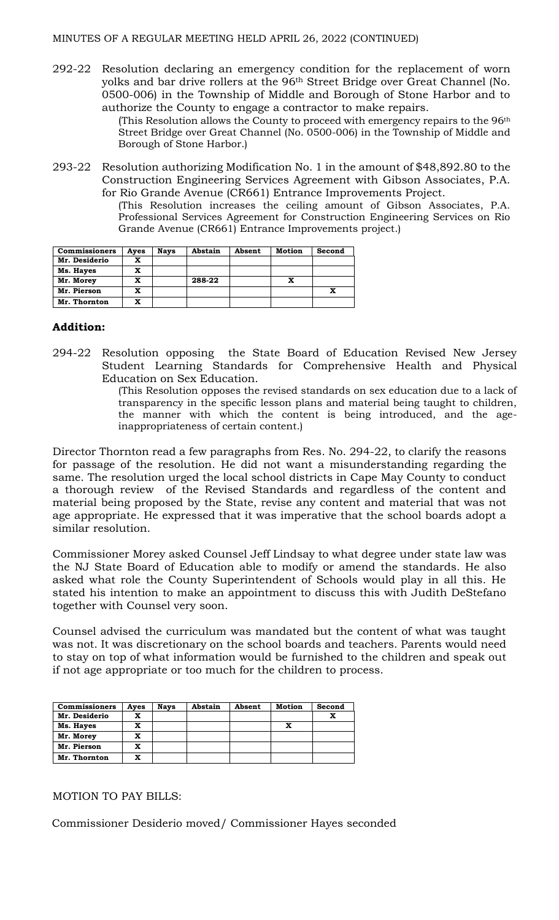292-22 Resolution declaring an emergency condition for the replacement of worn yolks and bar drive rollers at the 96th Street Bridge over Great Channel (No. 0500-006) in the Township of Middle and Borough of Stone Harbor and to authorize the County to engage a contractor to make repairs.

(This Resolution allows the County to proceed with emergency repairs to the 96th Street Bridge over Great Channel (No. 0500-006) in the Township of Middle and Borough of Stone Harbor.)

293-22 Resolution authorizing Modification No. 1 in the amount of \$48,892.80 to the Construction Engineering Services Agreement with Gibson Associates, P.A. for Rio Grande Avenue (CR661) Entrance Improvements Project.

(This Resolution increases the ceiling amount of Gibson Associates, P.A. Professional Services Agreement for Construction Engineering Services on Rio Grande Avenue (CR661) Entrance Improvements project.)

| <b>Commissioners</b> | Aves | <b>Nays</b> | Abstain | Absent | Motion | Second |
|----------------------|------|-------------|---------|--------|--------|--------|
| Mr. Desiderio        |      |             |         |        |        |        |
| Ms. Hayes            |      |             |         |        |        |        |
| Mr. Morey            |      |             | 288-22  |        |        |        |
| Mr. Pierson          |      |             |         |        |        |        |
| Mr. Thornton         | x    |             |         |        |        |        |

# **Addition:**

294-22 Resolution opposing the State Board of Education Revised New Jersey Student Learning Standards for Comprehensive Health and Physical Education on Sex Education.

(This Resolution opposes the revised standards on sex education due to a lack of transparency in the specific lesson plans and material being taught to children, the manner with which the content is being introduced, and the ageinappropriateness of certain content.)

Director Thornton read a few paragraphs from Res. No. 294-22, to clarify the reasons for passage of the resolution. He did not want a misunderstanding regarding the same. The resolution urged the local school districts in Cape May County to conduct a thorough review of the Revised Standards and regardless of the content and material being proposed by the State, revise any content and material that was not age appropriate. He expressed that it was imperative that the school boards adopt a similar resolution.

Commissioner Morey asked Counsel Jeff Lindsay to what degree under state law was the NJ State Board of Education able to modify or amend the standards. He also asked what role the County Superintendent of Schools would play in all this. He stated his intention to make an appointment to discuss this with Judith DeStefano together with Counsel very soon.

Counsel advised the curriculum was mandated but the content of what was taught was not. It was discretionary on the school boards and teachers. Parents would need to stay on top of what information would be furnished to the children and speak out if not age appropriate or too much for the children to process.

| <b>Commissioners</b> | Ayes | <b>Nays</b> | Abstain | Absent | Motion | Second |
|----------------------|------|-------------|---------|--------|--------|--------|
| Mr. Desiderio        |      |             |         |        |        |        |
| Ms. Hayes            |      |             |         |        |        |        |
| Mr. Morey            | x    |             |         |        |        |        |
| Mr. Pierson          | x    |             |         |        |        |        |
| Mr. Thornton         | x    |             |         |        |        |        |

#### MOTION TO PAY BILLS:

Commissioner Desiderio moved/ Commissioner Hayes seconded